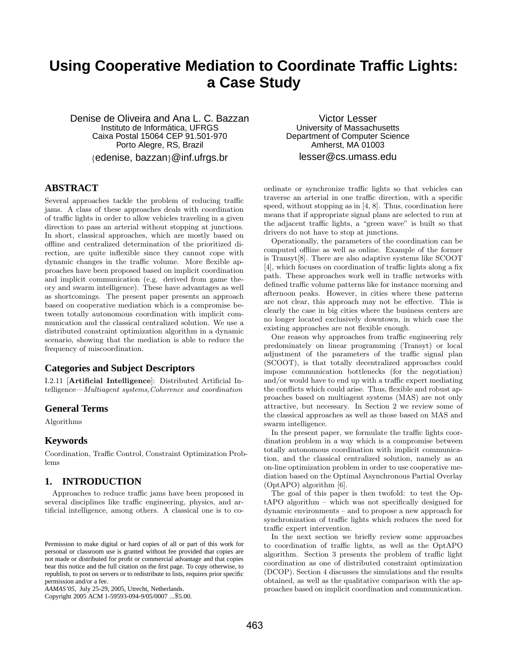# **Using Cooperative Mediation to Coordinate Traffic Lights: a Case Study**

Denise de Oliveira and Ana L. C. Bazzan Instituto de Informática, UFRGS Caixa Postal 15064 CEP 91.501-970 Porto Alegre, RS, Brazil {edenise, bazzan}@inf.ufrgs.br

Victor Lesser University of Massachusetts Department of Computer Science Amherst, MA 01003 lesser@cs.umass.edu

# **ABSTRACT**

Several approaches tackle the problem of reducing traffic jams. A class of these approaches deals with coordination of traffic lights in order to allow vehicles traveling in a given direction to pass an arterial without stopping at junctions. In short, classical approaches, which are mostly based on offline and centralized determination of the prioritized direction, are quite inflexible since they cannot cope with dynamic changes in the traffic volume. More flexible approaches have been proposed based on implicit coordination and implicit communication (e.g. derived from game theory and swarm intelligence). These have advantages as well as shortcomings. The present paper presents an approach based on cooperative mediation which is a compromise between totally autonomous coordination with implicit communication and the classical centralized solution. We use a distributed constraint optimization algorithm in a dynamic scenario, showing that the mediation is able to reduce the frequency of miscoordination.

# **Categories and Subject Descriptors**

I.2.11 [Artificial Intelligence]: Distributed Artificial Intelligence—Multiagent systems,Coherence and coordination

### **General Terms**

Algorithms

## **Keywords**

Coordination, Traffic Control, Constraint Optimization Problems

# **1. INTRODUCTION**

Approaches to reduce traffic jams have been proposed in several disciplines like traffic engineering, physics, and artificial intelligence, among others. A classical one is to co-

Copyright 2005 ACM 1-59593-094-9/05/0007 ...\$5.00.

ordinate or synchronize traffic lights so that vehicles can traverse an arterial in one traffic direction, with a specific speed, without stopping as in [4, 8]. Thus, coordination here means that if appropriate signal plans are selected to run at the adjacent traffic lights, a "green wave" is built so that drivers do not have to stop at junctions.

Operationally, the parameters of the coordination can be computed offline as well as online. Example of the former is Transyt[8]. There are also adaptive systems like SCOOT [4], which focuses on coordination of traffic lights along a fix path. These approaches work well in traffic networks with defined traffic volume patterns like for instance morning and afternoon peaks. However, in cities where these patterns are not clear, this approach may not be effective. This is clearly the case in big cities where the business centers are no longer located exclusively downtown, in which case the existing approaches are not flexible enough.

One reason why approaches from traffic engineering rely predominately on linear programming (Transyt) or local adjustment of the parameters of the traffic signal plan (SCOOT), is that totally decentralized approaches could impose communication bottlenecks (for the negotiation) and/or would have to end up with a traffic expert mediating the conflicts which could arise. Thus, flexible and robust approaches based on multiagent systems (MAS) are not only attractive, but necessary. In Section 2 we review some of the classical approaches as well as those based on MAS and swarm intelligence.

In the present paper, we formulate the traffic lights coordination problem in a way which is a compromise between totally autonomous coordination with implicit communication, and the classical centralized solution, namely as an on-line optimization problem in order to use cooperative mediation based on the Optimal Asynchronous Partial Overlay (OptAPO) algorithm [6].

The goal of this paper is then twofold: to test the OptAPO algorithm – which was not specifically designed for dynamic environments – and to propose a new approach for synchronization of traffic lights which reduces the need for traffic expert intervention.

In the next section we briefly review some approaches to coordination of traffic lights, as well as the OptAPO algorithm. Section 3 presents the problem of traffic light coordination as one of distributed constraint optimization (DCOP). Section 4 discusses the simulations and the results obtained, as well as the qualitative comparison with the approaches based on implicit coordination and communication.

Permission to make digital or hard copies of all or part of this work for personal or classroom use is granted without fee provided that copies are not made or distributed for profit or commercial advantage and that copies bear this notice and the full citation on the first page. To copy otherwise, to republish, to post on servers or to redistribute to lists, requires prior specific permission and/or a fee.

*AAMAS'05,* July 25-29, 2005, Utrecht, Netherlands.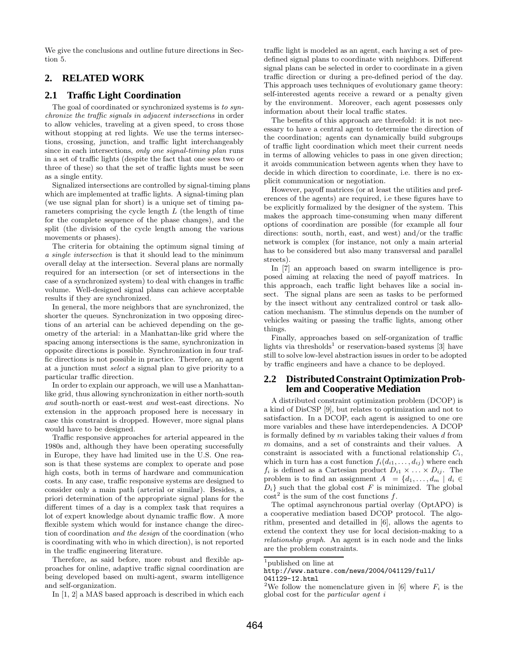We give the conclusions and outline future directions in Section 5.

# **2. RELATED WORK**

## **2.1 Traffic Light Coordination**

The goal of coordinated or synchronized systems is to synchronize the traffic signals in adjacent intersections in order to allow vehicles, traveling at a given speed, to cross those without stopping at red lights. We use the terms intersections, crossing, junction, and traffic light interchangeably since in each intersections, only one signal-timing plan runs in a set of traffic lights (despite the fact that one sees two or three of these) so that the set of traffic lights must be seen as a single entity.

Signalized intersections are controlled by signal-timing plans which are implemented at traffic lights. A signal-timing plan (we use signal plan for short) is a unique set of timing parameters comprising the cycle length L (the length of time for the complete sequence of the phase changes), and the split (the division of the cycle length among the various movements or phases).

The criteria for obtaining the optimum signal timing at a single intersection is that it should lead to the minimum overall delay at the intersection. Several plans are normally required for an intersection (or set of intersections in the case of a synchronized system) to deal with changes in traffic volume. Well-designed signal plans can achieve acceptable results if they are synchronized.

In general, the more neighbors that are synchronized, the shorter the queues. Synchronization in two opposing directions of an arterial can be achieved depending on the geometry of the arterial: in a Manhattan-like grid where the spacing among intersections is the same, synchronization in opposite directions is possible. Synchronization in four traffic directions is not possible in practice. Therefore, an agent at a junction must select a signal plan to give priority to a particular traffic direction.

In order to explain our approach, we will use a Manhattanlike grid, thus allowing synchronization in either north-south and south-north or east-west and west-east directions. No extension in the approach proposed here is necessary in case this constraint is dropped. However, more signal plans would have to be designed.

Traffic responsive approaches for arterial appeared in the 1980s and, although they have been operating successfully in Europe, they have had limited use in the U.S. One reason is that these systems are complex to operate and pose high costs, both in terms of hardware and communication costs. In any case, traffic responsive systems are designed to consider only a main path (arterial or similar). Besides, a priori determination of the appropriate signal plans for the different times of a day is a complex task that requires a lot of expert knowledge about dynamic traffic flow. A more flexible system which would for instance change the direction of coordination and the design of the coordination (who is coordinating with who in which direction), is not reported in the traffic engineering literature.

Therefore, as said before, more robust and flexible approaches for online, adaptive traffic signal coordination are being developed based on multi-agent, swarm intelligence and self-organization.

In [1, 2] a MAS based approach is described in which each

traffic light is modeled as an agent, each having a set of predefined signal plans to coordinate with neighbors. Different signal plans can be selected in order to coordinate in a given traffic direction or during a pre-defined period of the day. This approach uses techniques of evolutionary game theory: self-interested agents receive a reward or a penalty given by the environment. Moreover, each agent possesses only information about their local traffic states.

The benefits of this approach are threefold: it is not necessary to have a central agent to determine the direction of the coordination; agents can dynamically build subgroups of traffic light coordination which meet their current needs in terms of allowing vehicles to pass in one given direction; it avoids communication between agents when they have to decide in which direction to coordinate, i.e. there is no explicit communication or negotiation.

However, payoff matrices (or at least the utilities and preferences of the agents) are required, i.e these figures have to be explicitly formalized by the designer of the system. This makes the approach time-consuming when many different options of coordination are possible (for example all four directions: south, north, east, and west) and/or the traffic network is complex (for instance, not only a main arterial has to be considered but also many transversal and parallel streets).

In [7] an approach based on swarm intelligence is proposed aiming at relaxing the need of payoff matrices. In this approach, each traffic light behaves like a social insect. The signal plans are seen as tasks to be performed by the insect without any centralized control or task allocation mechanism. The stimulus depends on the number of vehicles waiting or passing the traffic lights, among other things.

Finally, approaches based on self-organization of traffic lights via thresholds<sup>1</sup> or reservation-based systems [3] have still to solve low-level abstraction issues in order to be adopted by traffic engineers and have a chance to be deployed.

### 2.2 Distributed Constraint Optimization Prob**lem and Cooperative Mediation**

A distributed constraint optimization problem (DCOP) is a kind of DisCSP [9], but relates to optimization and not to satisfaction. In a DCOP, each agent is assigned to one ore more variables and these have interdependencies. A DCOP is formally defined by  $m$  variables taking their values  $d$  from m domains, and a set of constraints and their values. A constraint is associated with a functional relationship  $C_i$ , which in turn has a cost function  $f_i(d_{i1}, \ldots, d_{ij})$  where each  $f_i$  is defined as a Cartesian product  $D_{i1} \times \ldots \times D_{ij}$ . The problem is to find an assignment  $A = \{d_1, \ldots, d_m \mid d_i \in$  $D_i$  such that the global cost F is minimized. The global  $\cot^2$  is the sum of the cost functions f.

The optimal asynchronous partial overlay (OptAPO) is a cooperative mediation based DCOP protocol. The algorithm, presented and detailled in [6], allows the agents to extend the context they use for local decision-making to a relationship graph. An agent is in each node and the links are the problem constraints.

<sup>1</sup>published on line at

http://www.nature.com/news/2004/041129/full/ 041129-12.html

<sup>&</sup>lt;sup>2</sup>We follow the nomenclature given in [6] where  $F_i$  is the global cost for the particular agent i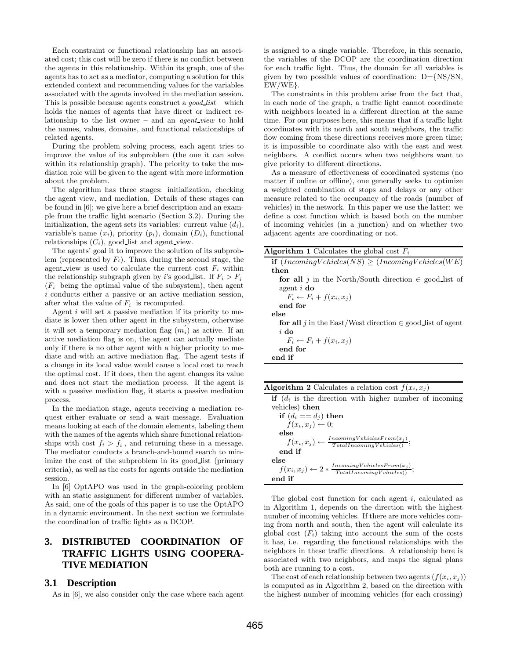Each constraint or functional relationship has an associated cost; this cost will be zero if there is no conflict between the agents in this relationship. Within its graph, one of the agents has to act as a mediator, computing a solution for this extended context and recommending values for the variables associated with the agents involved in the mediation session. This is possible because agents construct a good  $list$  – which holds the names of agents that have direct or indirect relationship to the list owner – and an agent view to hold the names, values, domains, and functional relationships of related agents.

During the problem solving process, each agent tries to improve the value of its subproblem (the one it can solve within its relationship graph). The priority to take the mediation role will be given to the agent with more information about the problem.

The algorithm has three stages: initialization, checking the agent view, and mediation. Details of these stages can be found in [6]; we give here a brief description and an example from the traffic light scenario (Section 3.2). During the initialization, the agent sets its variables: current value  $(d_i)$ , variable's name  $(x_i)$ , priority  $(p_i)$ , domain  $(D_i)$ , functional relationships  $(C_i)$ , good list and agent view.

The agents' goal it to improve the solution of its subproblem (represented by  $F_i$ ). Thus, during the second stage, the agent view is used to calculate the current cost  $F_i$  within the relationship subgraph given by i's good list. If  $F_i > F_i$  $(F_i)$  being the optimal value of the subsystem), then agent i conducts either a passive or an active mediation session, after what the value of  $F_i$  is recomputed.

Agent  $i$  will set a passive mediation if its priority to mediate is lower then other agent in the subsystem, otherwise it will set a temporary mediation flag  $(m_i^{'})$  as active. If an active mediation flag is on, the agent can actually mediate only if there is no other agent with a higher priority to mediate and with an active mediation flag. The agent tests if a change in its local value would cause a local cost to reach the optimal cost. If it does, then the agent changes its value and does not start the mediation process. If the agent is with a passive mediation flag, it starts a passive mediation process.

In the mediation stage, agents receiving a mediation request either evaluate or send a wait message. Evaluation means looking at each of the domain elements, labeling them with the names of the agents which share functional relationships with cost  $f_i > f_i$ , and returning these in a message. The mediator conducts a branch-and-bound search to minimize the cost of the subproblem in its good list (primary criteria), as well as the costs for agents outside the mediation session.

In [6] OptAPO was used in the graph-coloring problem with an static assignment for different number of variables. As said, one of the goals of this paper is to use the OptAPO in a dynamic environment. In the next section we formulate the coordination of traffic lights as a DCOP.

# **3. DISTRIBUTED COORDINATION OF TRAFFIC LIGHTS USING COOPERA-TIVE MEDIATION**

## **3.1 Description**

As in [6], we also consider only the case where each agent

is assigned to a single variable. Therefore, in this scenario, the variables of the DCOP are the coordination direction for each traffic light. Thus, the domain for all variables is given by two possible values of coordination:  $D = \{NS/SN,$ EW/WE}.

The constraints in this problem arise from the fact that, in each node of the graph, a traffic light cannot coordinate with neighbors located in a different direction at the same time. For our purposes here, this means that if a traffic light coordinates with its north and south neighbors, the traffic flow coming from these directions receives more green time; it is impossible to coordinate also with the east and west neighbors. A conflict occurs when two neighbors want to give priority to different directions.

As a measure of effectiveness of coordinated systems (no matter if online or offline), one generally seeks to optimize a weighted combination of stops and delays or any other measure related to the occupancy of the roads (number of vehicles) in the network. In this paper we use the latter: we define a cost function which is based both on the number of incoming vehicles (in a junction) and on whether two adjacent agents are coordinating or not.

| <b>Algorithm 1</b> Calculates the global cost $F_i$              |
|------------------------------------------------------------------|
| if $(IncomingVehicle(S) \geq (IncomingVehicle(WE))$              |
| then                                                             |
| for all <i>j</i> in the North/South direction $\in$ good list of |
| agent $i$ do                                                     |
| $F_i \leftarrow F_i + f(x_i, x_i)$                               |
| end for                                                          |
| else                                                             |
| for all j in the East/West direction $\in$ good list of agent    |
| $i$ do                                                           |
| $F_i \leftarrow F_i + f(x_i, x_i)$                               |
| end for                                                          |
| end if                                                           |

| Algorithm 2 Calculates a relation cost $f(x_i, x_j)$ |  |
|------------------------------------------------------|--|
|------------------------------------------------------|--|

if  $(d_i)$  is the direction with higher number of incoming vehicles) then

if  $(d_i == d_j)$  then  $f(x_i, x_j) \leftarrow 0;$ else  $f(x_i, x_j) \leftarrow \frac{IncomingVehiclesFrom(x_j)}{TotalIncomingVehicles()};$ end if else  $f(x_i, x_j) \leftarrow 2 * \frac{IncomingVehiclesFrom(x_j)}{TotalIncomingVehicles)};$ end if

The global cost function for each agent  $i$ , calculated as in Algorithm 1, depends on the direction with the highest number of incoming vehicles. If there are more vehicles coming from north and south, then the agent will calculate its global cost  $(F_i)$  taking into account the sum of the costs it has, i.e. regarding the functional relationships with the neighbors in these traffic directions. A relationship here is associated with two neighbors, and maps the signal plans both are running to a cost.

The cost of each relationship between two agents  $(f(x_i, x_j))$ is computed as in Algorithm 2, based on the direction with the highest number of incoming vehicles (for each crossing)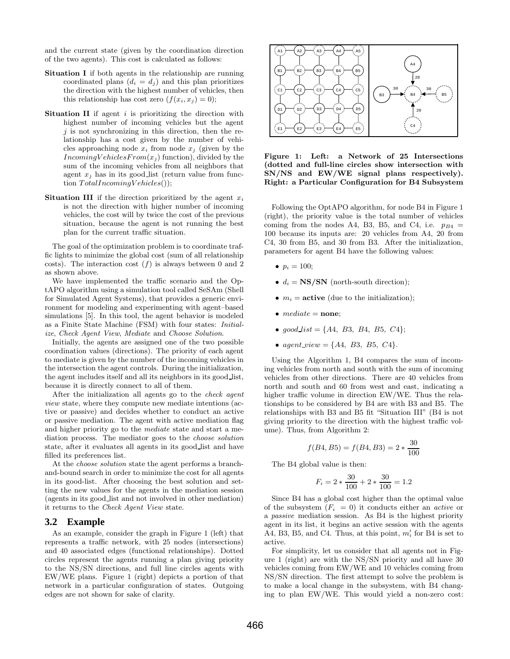and the current state (given by the coordination direction of the two agents). This cost is calculated as follows:

- Situation I if both agents in the relationship are running coordinated plans  $(d_i = d_j)$  and this plan prioritizes the direction with the highest number of vehicles, then this relationship has cost zero  $(f(x_i, x_j) = 0);$
- **Situation II** if agent  $i$  is prioritizing the direction with highest number of incoming vehicles but the agent  $j$  is not synchronizing in this direction, then the relationship has a cost given by the number of vehicles approaching node  $x_i$  from node  $x_j$  (given by the  $IncomingVehicleFrom(x<sub>i</sub>)$  function), divided by the sum of the incoming vehicles from all neighbors that agent  $x_j$  has in its good list (return value from function  $TotalIncomingVehicles()$ ;
- **Situation III** if the direction prioritized by the agent  $x_i$ is not the direction with higher number of incoming vehicles, the cost will by twice the cost of the previous situation, because the agent is not running the best plan for the current traffic situation.

The goal of the optimization problem is to coordinate traffic lights to minimize the global cost (sum of all relationship costs). The interaction cost  $(f)$  is always between 0 and 2 as shown above.

We have implemented the traffic scenario and the OptAPO algorithm using a simulation tool called SeSAm (Shell for Simulated Agent Systems), that provides a generic environment for modeling and experimenting with agent–based simulations [5]. In this tool, the agent behavior is modeled as a Finite State Machine (FSM) with four states: Initialize, Check Agent View, Mediate and Choose Solution.

Initially, the agents are assigned one of the two possible coordination values (directions). The priority of each agent to mediate is given by the number of the incoming vehicles in the intersection the agent controls. During the initialization, the agent includes itself and all its neighbors in its good list, because it is directly connect to all of them.

After the initialization all agents go to the check agent view state, where they compute new mediate intentions (active or passive) and decides whether to conduct an active or passive mediation. The agent with active mediation flag and higher priority go to the mediate state and start a mediation process. The mediator goes to the choose solution state, after it evaluates all agents in its good list and have filled its preferences list.

At the choose solution state the agent performs a branchand-bound search in order to minimize the cost for all agents in its good-list. After choosing the best solution and setting the new values for the agents in the mediation session (agents in its good list and not involved in other mediation) it returns to the Check Agent View state.

#### **3.2 Example**

As an example, consider the graph in Figure 1 (left) that represents a traffic network, with 25 nodes (intersections) and 40 associated edges (functional relationships). Dotted circles represent the agents running a plan giving priority to the NS/SN directions, and full line circles agents with EW/WE plans. Figure 1 (right) depicts a portion of that network in a particular configuration of states. Outgoing edges are not shown for sake of clarity.



Figure 1: Left: a Network of 25 Intersections (dotted and full-line circles show intersection with SN/NS and EW/WE signal plans respectively). Right: a Particular Configuration for B4 Subsystem

Following the OptAPO algorithm, for node B4 in Figure 1 (right), the priority value is the total number of vehicles coming from the nodes A4, B3, B5, and C4, i.e.  $p_{B4} =$ 100 because its inputs are: 20 vehicles from A4, 20 from C4, 30 from B5, and 30 from B3. After the initialization, parameters for agent B4 have the following values:

- $p_i = 100;$
- $d_i = \text{NS} / \text{SN}$  (north-south direction);
- $m_i =$  active (due to the initialization);
- $\bullet$  mediate = none;
- good list =  $\{A4, B3, B4, B5, C4\};$
- *agent\_view* =  ${AA, B3, B5, C4}.$

Using the Algorithm 1, B4 compares the sum of incoming vehicles from north and south with the sum of incoming vehicles from other directions. There are 40 vehicles from north and south and 60 from west and east, indicating a higher traffic volume in direction EW/WE. Thus the relationships to be considered by B4 are with B3 and B5. The relationships with B3 and B5 fit "Situation III" (B4 is not giving priority to the direction with the highest traffic volume). Thus, from Algorithm 2:

$$
f(B4, B5) = f(B4, B3) = 2 * \frac{30}{100}
$$

The B4 global value is then:

$$
F_i = 2 * \frac{30}{100} + 2 * \frac{30}{100} = 1.2
$$

Since B4 has a global cost higher than the optimal value of the subsystem  $(F_i = 0)$  it conducts either an *active* or a passive mediation session. As B4 is the highest priority agent in its list, it begins an active session with the agents  $\overrightarrow{AA}$ , B3, B5, and C4. Thus, at this point,  $m'_i$  for B4 is set to active.

For simplicity, let us consider that all agents not in Figure 1 (right) are with the NS/SN priority and all have 30 vehicles coming from EW/WE and 10 vehicles coming from NS/SN direction. The first attempt to solve the problem is to make a local change in the subsystem, with B4 changing to plan EW/WE. This would yield a non-zero cost: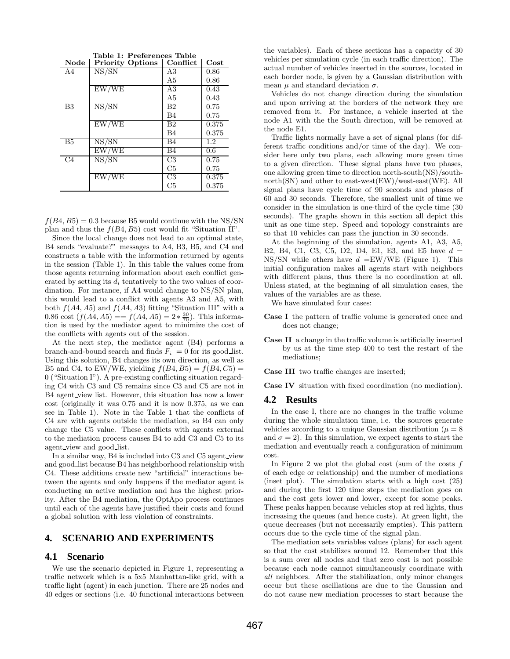| Table 1: Preferences Table |                                    |                |       |  |
|----------------------------|------------------------------------|----------------|-------|--|
| Node                       | <b>Priority Options</b>            | Conflict       | Cost  |  |
| A <sub>4</sub>             | NS/SN                              | A3             | 0.86  |  |
|                            |                                    | A <sub>5</sub> | 0.86  |  |
|                            | EW/WE                              | A3             | 0.43  |  |
|                            |                                    | A <sub>5</sub> | 0.43  |  |
| B3                         | NS/SN                              | B <sub>2</sub> | 0.75  |  |
|                            |                                    | B <sub>4</sub> | 0.75  |  |
|                            | EW/WE                              | B <sub>2</sub> | 0.375 |  |
|                            |                                    | B <sub>4</sub> | 0.375 |  |
| B <sub>5</sub>             | $\overline{\text{NS} / \text{SN}}$ | B4             | 1.2   |  |
|                            | EW/WE                              | B4             | 0.6   |  |
| C <sub>4</sub>             | NS/SN                              | C <sub>3</sub> | 0.75  |  |
|                            |                                    | C5             | 0.75  |  |
|                            | EW/WE                              | C3             | 0.375 |  |
|                            |                                    | C5             | 0.375 |  |

 $f(B4, B5) = 0.3$  because B5 would continue with the NS/SN plan and thus the  $f(B4, B5)$  cost would fit "Situation II".

Since the local change does not lead to an optimal state, B4 sends "evaluate?" messages to A4, B3, B5, and C4 and constructs a table with the information returned by agents in the session (Table 1). In this table the values come from those agents returning information about each conflict generated by setting its  $d_i$  tentatively to the two values of coordination. For instance, if A4 would change to NS/SN plan, this would lead to a conflict with agents A3 and A5, with both  $f(A4, A5)$  and  $f(A4, A3)$  fitting "Situation III" with a 0.86 cost  $(f(A4, A5)) = f(A4, A5) = 2 * \frac{30}{70}$ . This information is used by the mediator agent to minimize the cost of the conflicts with agents out of the session.

At the next step, the mediator agent (B4) performs a branch-and-bound search and finds  $F_i = 0$  for its good list. Using this solution, B4 changes its own direction, as well as B5 and C4, to EW/WE, yielding  $f(B4, B5) = f(B4, C5)$ 0 ("Situation I"). A pre-existing conflicting situation regarding C4 with C3 and C5 remains since C3 and C5 are not in B4 agent view list. However, this situation has now a lower cost (originally it was 0.75 and it is now 0.375, as we can see in Table 1). Note in the Table 1 that the conflicts of C4 are with agents outside the mediation, so B4 can only change the C5 value. These conflicts with agents external to the mediation process causes B4 to add C3 and C5 to its agent view and good list.

In a similar way, B4 is included into C3 and C5 agent view and good list because B4 has neighborhood relationship with C4. These additions create new "artificial" interactions between the agents and only happens if the mediator agent is conducting an active mediation and has the highest priority. After the B4 mediation, the OptApo process continues until each of the agents have justified their costs and found a global solution with less violation of constraints.

### **4. SCENARIO AND EXPERIMENTS**

#### **4.1 Scenario**

We use the scenario depicted in Figure 1, representing a traffic network which is a 5x5 Manhattan-like grid, with a traffic light (agent) in each junction. There are 25 nodes and 40 edges or sections (i.e. 40 functional interactions between the variables). Each of these sections has a capacity of 30 vehicles per simulation cycle (in each traffic direction). The actual number of vehicles inserted in the sources, located in each border node, is given by a Gaussian distribution with mean  $\mu$  and standard deviation  $\sigma$ .

Vehicles do not change direction during the simulation and upon arriving at the borders of the network they are removed from it. For instance, a vehicle inserted at the node A1 with the the South direction, will be removed at the node E1.

Traffic lights normally have a set of signal plans (for different traffic conditions and/or time of the day). We consider here only two plans, each allowing more green time to a given direction. These signal plans have two phases, one allowing green time to direction north-south(NS)/southnorth(SN) and other to east-west(EW)/west-east(WE). All signal plans have cycle time of 90 seconds and phases of 60 and 30 seconds. Therefore, the smallest unit of time we consider in the simulation is one-third of the cycle time (30 seconds). The graphs shown in this section all depict this unit as one time step. Speed and topology constraints are so that 10 vehicles can pass the junction in 30 seconds.

At the beginning of the simulation, agents A1, A3, A5, B2, B4, C1, C3, C5, D2, D4, E1, E3, and E5 have  $d =$ NS/SN while others have  $d = EW/WE$  (Figure 1). This initial configuration makes all agents start with neighbors with different plans, thus there is no coordination at all. Unless stated, at the beginning of all simulation cases, the values of the variables are as these.

We have simulated four cases:

- Case I the pattern of traffic volume is generated once and does not change;
- Case II a change in the traffic volume is artificially inserted by us at the time step 400 to test the restart of the mediations;

Case III two traffic changes are inserted;

Case IV situation with fixed coordination (no mediation).

#### **4.2 Results**

In the case I, there are no changes in the traffic volume during the whole simulation time, i.e. the sources generate vehicles according to a unique Gaussian distribution ( $\mu = 8$ ) and  $\sigma = 2$ ). In this simulation, we expect agents to start the mediation and eventually reach a configuration of minimum cost.

In Figure 2 we plot the global cost (sum of the costs f of each edge or relationship) and the number of mediations (inset plot). The simulation starts with a high cost (25) and during the first 120 time steps the mediation goes on and the cost gets lower and lower, except for some peaks. These peaks happen because vehicles stop at red lights, thus increasing the queues (and hence costs). At green light, the queue decreases (but not necessarily empties). This pattern occurs due to the cycle time of the signal plan.

The mediation sets variables values (plans) for each agent so that the cost stabilizes around 12. Remember that this is a sum over all nodes and that zero cost is not possible because each node cannot simultaneously coordinate with all neighbors. After the stabilization, only minor changes occur but these oscillations are due to the Gaussian and do not cause new mediation processes to start because the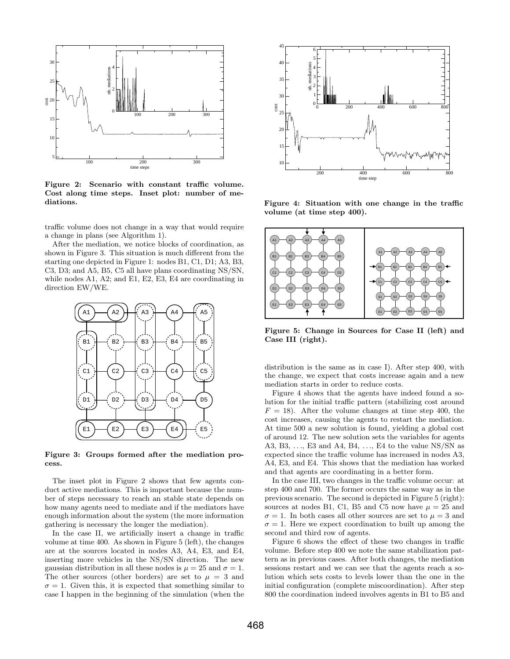

Figure 2: Scenario with constant traffic volume. Cost along time steps. Inset plot: number of mediations.

traffic volume does not change in a way that would require a change in plans (see Algorithm 1).

After the mediation, we notice blocks of coordination, as shown in Figure 3. This situation is much different from the starting one depicted in Figure 1: nodes B1, C1, D1; A3, B3, C3, D3; and A5, B5, C5 all have plans coordinating NS/SN, while nodes A1, A2; and E1, E2, E3, E4 are coordinating in direction EW/WE.



Figure 3: Groups formed after the mediation process.

The inset plot in Figure 2 shows that few agents conduct active mediations. This is important because the number of steps necessary to reach an stable state depends on how many agents need to mediate and if the mediators have enough information about the system (the more information gathering is necessary the longer the mediation).

In the case II, we artificially insert a change in traffic volume at time 400. As shown in Figure 5 (left), the changes are at the sources located in nodes A3, A4, E3, and E4, inserting more vehicles in the NS/SN direction. The new gaussian distribution in all these nodes is  $\mu = 25$  and  $\sigma = 1$ . The other sources (other borders) are set to  $\mu = 3$  and  $\sigma = 1$ . Given this, it is expected that something similar to case I happen in the beginning of the simulation (when the



Figure 4: Situation with one change in the traffic volume (at time step 400).



Figure 5: Change in Sources for Case II (left) and Case III (right).

distribution is the same as in case I). After step 400, with the change, we expect that costs increase again and a new mediation starts in order to reduce costs.

Figure 4 shows that the agents have indeed found a solution for the initial traffic pattern (stabilizing cost around  $F = 18$ ). After the volume changes at time step 400, the cost increases, causing the agents to restart the mediation. At time 500 a new solution is found, yielding a global cost of around 12. The new solution sets the variables for agents A3, B3,  $\dots$ , E3 and A4, B4,  $\dots$ , E4 to the value NS/SN as expected since the traffic volume has increased in nodes A3, A4, E3, and E4. This shows that the mediation has worked and that agents are coordinating in a better form.

In the case III, two changes in the traffic volume occur: at step 400 and 700. The former occurs the same way as in the previous scenario. The second is depicted in Figure 5 (right): sources at nodes B1, C1, B5 and C5 now have  $\mu = 25$  and  $\sigma = 1$ . In both cases all other sources are set to  $\mu = 3$  and  $\sigma = 1$ . Here we expect coordination to built up among the second and third row of agents.

Figure 6 shows the effect of these two changes in traffic volume. Before step 400 we note the same stabilization pattern as in previous cases. After both changes, the mediation sessions restart and we can see that the agents reach a solution which sets costs to levels lower than the one in the initial configuration (complete miscoordination). After step 800 the coordination indeed involves agents in B1 to B5 and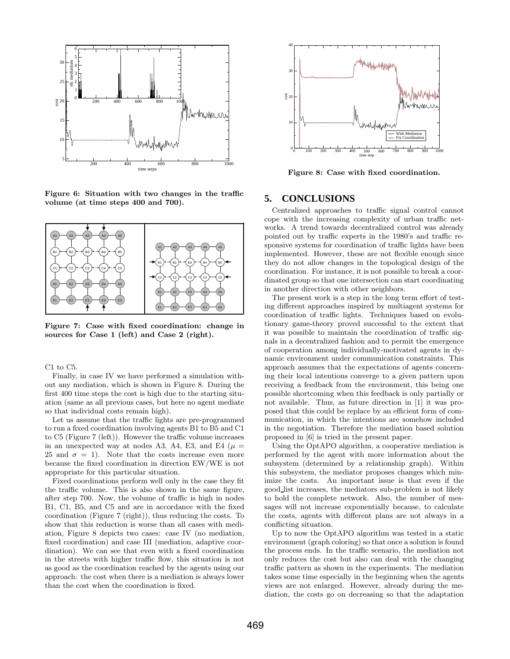

Figure 6: Situation with two changes in the traffic volume (at time steps 400 and 700).



Figure 7: Case with fixed coordination: change in sources for Case 1 (left) and Case 2 (right).

C1 to C5.

Finally, in case IV we have performed a simulation without any mediation, which is shown in Figure 8. During the first 400 time steps the cost is high due to the starting situation (same as all previous cases, but here no agent mediate so that individual costs remain high).

Let us assume that the traffic lights are pre-programmed to run a fixed coordination involving agents B1 to B5 and C1 to C5 (Figure 7 (left)). However the traffic volume increases in an unexpected way at nodes A3, A4, E3, and E4 ( $\mu$  = 25 and  $\sigma = 1$ ). Note that the costs increase even more because the fixed coordination in direction EW/WE is not appropriate for this particular situation.

Fixed coordinations perform well only in the case they fit the traffic volume. This is also shown in the same figure, after step 700. Now, the volume of traffic is high in nodes B1, C1, B5, and C5 and are in accordance with the fixed coordination (Figure 7 (right)), thus reducing the costs. To show that this reduction is worse than all cases with mediation, Figure 8 depicts two cases: case IV (no mediation, fixed coordination) and case III (mediation, adaptive coordination). We can see that even with a fixed coordination in the streets with higher traffic flow, this situation is not as good as the coordination reached by the agents using our approach: the cost when there is a mediation is always lower than the cost when the coordination is fixed.



Figure 8: Case with fixed coordination.

# **5. CONCLUSIONS**

Centralized approaches to traffic signal control cannot cope with the increasing complexity of urban traffic networks. A trend towards decentralized control was already pointed out by traffic experts in the 1980's and traffic responsive systems for coordination of traffic lights have been implemented. However, these are not flexible enough since they do not allow changes in the topological design of the coordination. For instance, it is not possible to break a coordinated group so that one intersection can start coordinating in another direction with other neighbors.

The present work is a step in the long term effort of testing different approaches inspired by multiagent systems for coordination of traffic lights. Techniques based on evolutionary game-theory proved successful to the extent that it was possible to maintain the coordination of traffic signals in a decentralized fashion and to permit the emergence of cooperation among individually-motivated agents in dynamic environment under communication constraints. This approach assumes that the expectations of agents concerning their local intentions converge to a given pattern upon receiving a feedback from the environment, this being one possible shortcoming when this feedback is only partially or not available. Thus, as future direction in [1] it was proposed that this could be replace by an efficient form of communication, in which the intentions are somehow included in the negotiation. Therefore the mediation based solution proposed in [6] is tried in the present paper.

Using the OptAPO algorithm, a cooperative mediation is performed by the agent with more information about the subsystem (determined by a relationship graph). Within this subsystem, the mediator proposes changes which minimize the costs. An important issue is that even if the good list increases, the mediators sub-problem is not likely to hold the complete network. Also, the number of messages will not increase exponentially because, to calculate the costs, agents with different plans are not always in a conflicting situation.

Up to now the OptAPO algorithm was tested in a static environment (graph coloring) so that once a solution is found the process ends. In the traffic scenario, the mediation not only reduces the cost but also can deal with the changing traffic pattern as shown in the experiments. The mediation takes some time especially in the beginning when the agents views are not enlarged. However, already during the mediation, the costs go on decreasing so that the adaptation